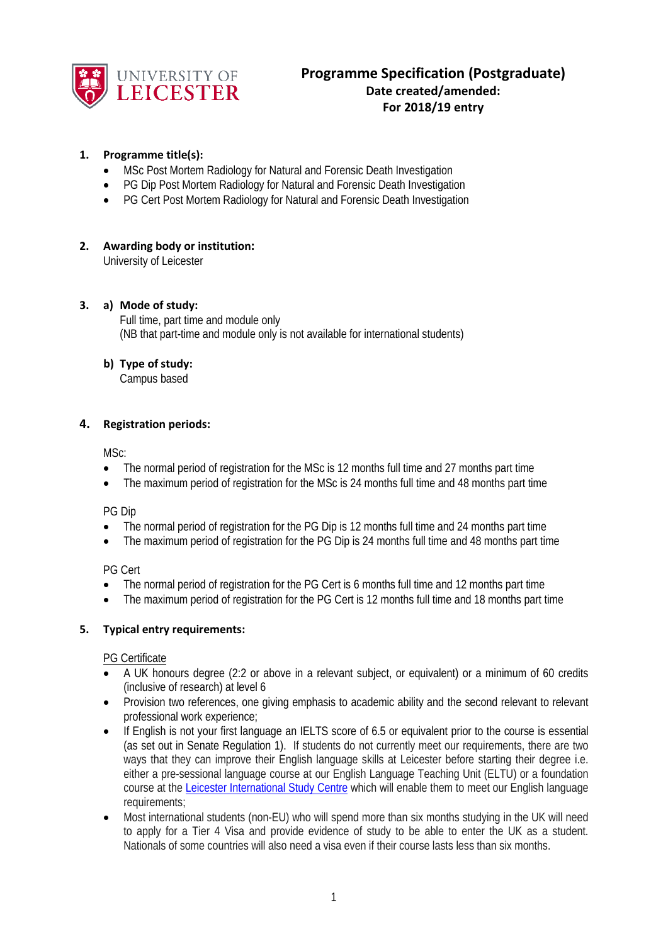

### **1. Programme title(s):**

- MSc Post Mortem Radiology for Natural and Forensic Death Investigation
- PG Dip Post Mortem Radiology for Natural and Forensic Death Investigation
- PG Cert Post Mortem Radiology for Natural and Forensic Death Investigation

# **2. Awarding body or institution:**

University of Leicester

### **3. a) Mode of study:**

Full time, part time and module only (NB that part-time and module only is not available for international students)

### **b) Type of study:**

Campus based

### **4. Registration periods:**

MSc:

- The normal period of registration for the MSc is 12 months full time and 27 months part time
- The maximum period of registration for the MSc is 24 months full time and 48 months part time

PG Dip

- The normal period of registration for the PG Dip is 12 months full time and 24 months part time
- The maximum period of registration for the PG Dip is 24 months full time and 48 months part time

PG Cert

- The normal period of registration for the PG Cert is 6 months full time and 12 months part time
- The maximum period of registration for the PG Cert is 12 months full time and 18 months part time

### **5. Typical entry requirements:**

### PG Certificate

- A UK honours degree (2:2 or above in a relevant subject, or equivalent) or a minimum of 60 credits (inclusive of research) at level 6
- Provision two references, one giving emphasis to academic ability and the second relevant to relevant professional work experience;
- If English is not your first language an IELTS score of 6.5 or equivalent prior to the course is essential (as set out in Senate Regulation 1). If students do not currently meet our requirements, there are two ways that they can improve their English language skills at Leicester before starting their degree i.e. either a pre-sessional language course at our English Language Teaching Unit (ELTU) or a foundation course at the [Leicester International Study Centre](http://www.leicesterisc.com/?ch=uniweb) which will enable them to meet our English language requirements;
- Most international students (non-EU) who will spend more than six months studying in the UK will need to apply for a Tier 4 Visa and provide evidence of study to be able to enter the UK as a student. Nationals of some countries will also need a visa even if their course lasts less than six months.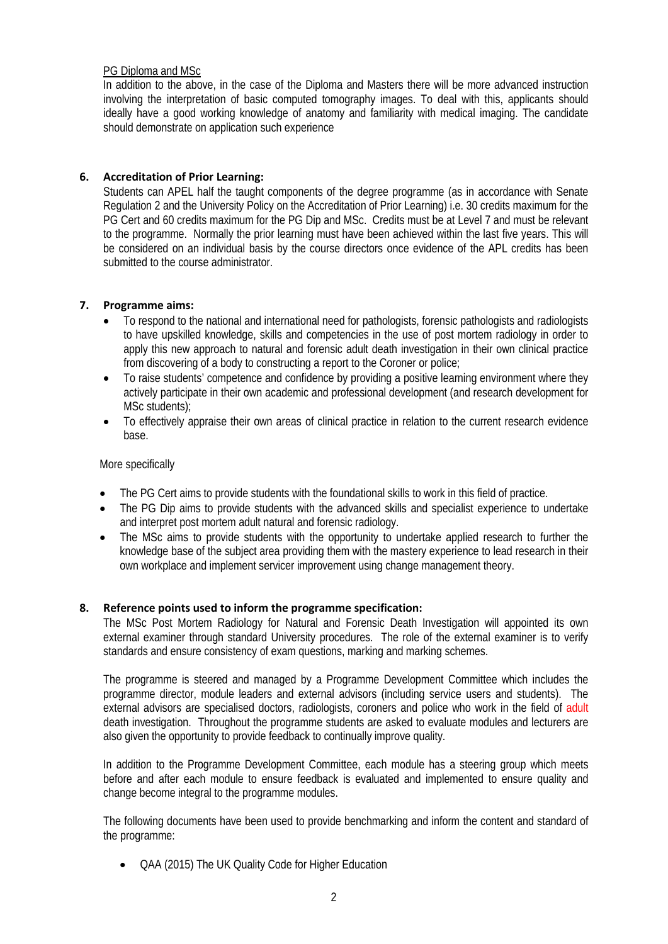### PG Diploma and MSc

In addition to the above, in the case of the Diploma and Masters there will be more advanced instruction involving the interpretation of basic computed tomography images. To deal with this, applicants should ideally have a good working knowledge of anatomy and familiarity with medical imaging. The candidate should demonstrate on application such experience

# **6. Accreditation of Prior Learning:**

Students can APEL half the taught components of the degree programme (as in accordance with Senate Regulation 2 and the University Policy on the Accreditation of Prior Learning) i.e. 30 credits maximum for the PG Cert and 60 credits maximum for the PG Dip and MSc. Credits must be at Level 7 and must be relevant to the programme. Normally the prior learning must have been achieved within the last five years. This will be considered on an individual basis by the course directors once evidence of the APL credits has been submitted to the course administrator.

### **7. Programme aims:**

- To respond to the national and international need for pathologists, forensic pathologists and radiologists to have upskilled knowledge, skills and competencies in the use of post mortem radiology in order to apply this new approach to natural and forensic adult death investigation in their own clinical practice from discovering of a body to constructing a report to the Coroner or police;
- To raise students' competence and confidence by providing a positive learning environment where they actively participate in their own academic and professional development (and research development for MSc students);
- To effectively appraise their own areas of clinical practice in relation to the current research evidence base.

### More specifically

- The PG Cert aims to provide students with the foundational skills to work in this field of practice.
- The PG Dip aims to provide students with the advanced skills and specialist experience to undertake and interpret post mortem adult natural and forensic radiology.
- The MSc aims to provide students with the opportunity to undertake applied research to further the knowledge base of the subject area providing them with the mastery experience to lead research in their own workplace and implement servicer improvement using change management theory.

# **8. Reference points used to inform the programme specification:**

The MSc Post Mortem Radiology for Natural and Forensic Death Investigation will appointed its own external examiner through standard University procedures. The role of the external examiner is to verify standards and ensure consistency of exam questions, marking and marking schemes.

The programme is steered and managed by a Programme Development Committee which includes the programme director, module leaders and external advisors (including service users and students). The external advisors are specialised doctors, radiologists, coroners and police who work in the field of adult death investigation. Throughout the programme students are asked to evaluate modules and lecturers are also given the opportunity to provide feedback to continually improve quality.

In addition to the Programme Development Committee, each module has a steering group which meets before and after each module to ensure feedback is evaluated and implemented to ensure quality and change become integral to the programme modules.

The following documents have been used to provide benchmarking and inform the content and standard of the programme:

• QAA (2015) The UK Quality Code for Higher Education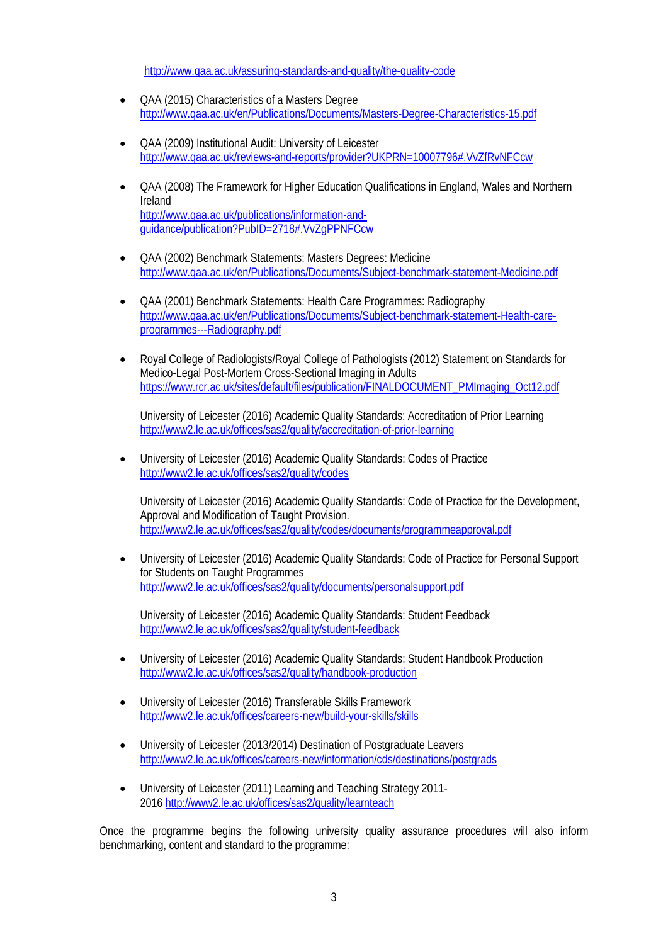<http://www.qaa.ac.uk/assuring-standards-and-quality/the-quality-code>

- QAA (2015) Characteristics of a Masters Degree <http://www.qaa.ac.uk/en/Publications/Documents/Masters-Degree-Characteristics-15.pdf>
- QAA (2009) Institutional Audit: University of Leicester <http://www.qaa.ac.uk/reviews-and-reports/provider?UKPRN=10007796#.VvZfRvNFCcw>
- QAA (2008) The Framework for Higher Education Qualifications in England, Wales and Northern Ireland [http://www.qaa.ac.uk/publications/information-and](http://www.qaa.ac.uk/publications/information-and-guidance/publication?PubID=2718#.VvZgPPNFCcw)[guidance/publication?PubID=2718#.VvZgPPNFCcw](http://www.qaa.ac.uk/publications/information-and-guidance/publication?PubID=2718#.VvZgPPNFCcw)
- QAA (2002) Benchmark Statements: Masters Degrees: Medicine <http://www.qaa.ac.uk/en/Publications/Documents/Subject-benchmark-statement-Medicine.pdf>
- QAA (2001) Benchmark Statements: Health Care Programmes: Radiography [http://www.qaa.ac.uk/en/Publications/Documents/Subject-benchmark-statement-Health-care](http://www.qaa.ac.uk/en/Publications/Documents/Subject-benchmark-statement-Health-care-programmes---Radiography.pdf)[programmes---Radiography.pdf](http://www.qaa.ac.uk/en/Publications/Documents/Subject-benchmark-statement-Health-care-programmes---Radiography.pdf)
- Royal College of Radiologists/Royal College of Pathologists (2012) Statement on Standards for Medico-Legal Post-Mortem Cross-Sectional Imaging in Adults [https://www.rcr.ac.uk/sites/default/files/publication/FINALDOCUMENT\\_PMImaging\\_Oct12.pdf](https://www.rcr.ac.uk/sites/default/files/publication/FINALDOCUMENT_PMImaging_Oct12.pdf)

University of Leicester (2016) Academic Quality Standards: Accreditation of Prior Learning <http://www2.le.ac.uk/offices/sas2/quality/accreditation-of-prior-learning>

• University of Leicester (2016) Academic Quality Standards: Codes of Practice <http://www2.le.ac.uk/offices/sas2/quality/codes>

University of Leicester (2016) Academic Quality Standards: Code of Practice for the Development, Approval and Modification of Taught Provision. <http://www2.le.ac.uk/offices/sas2/quality/codes/documents/programmeapproval.pdf>

• University of Leicester (2016) Academic Quality Standards: Code of Practice for Personal Support for Students on Taught Programmes <http://www2.le.ac.uk/offices/sas2/quality/documents/personalsupport.pdf>

University of Leicester (2016) Academic Quality Standards: Student Feedback <http://www2.le.ac.uk/offices/sas2/quality/student-feedback>

- University of Leicester (2016) Academic Quality Standards: Student Handbook Production <http://www2.le.ac.uk/offices/sas2/quality/handbook-production>
- University of Leicester (2016) Transferable Skills Framework <http://www2.le.ac.uk/offices/careers-new/build-your-skills/skills>
- University of Leicester (2013/2014) Destination of Postgraduate Leavers <http://www2.le.ac.uk/offices/careers-new/information/cds/destinations/postgrads>
- University of Leicester (2011) Learning and Teaching Strategy 2011- 201[6 http://www2.le.ac.uk/offices/sas2/quality/learnteach](http://www2.le.ac.uk/offices/sas2/quality/learnteach)

Once the programme begins the following university quality assurance procedures will also inform benchmarking, content and standard to the programme: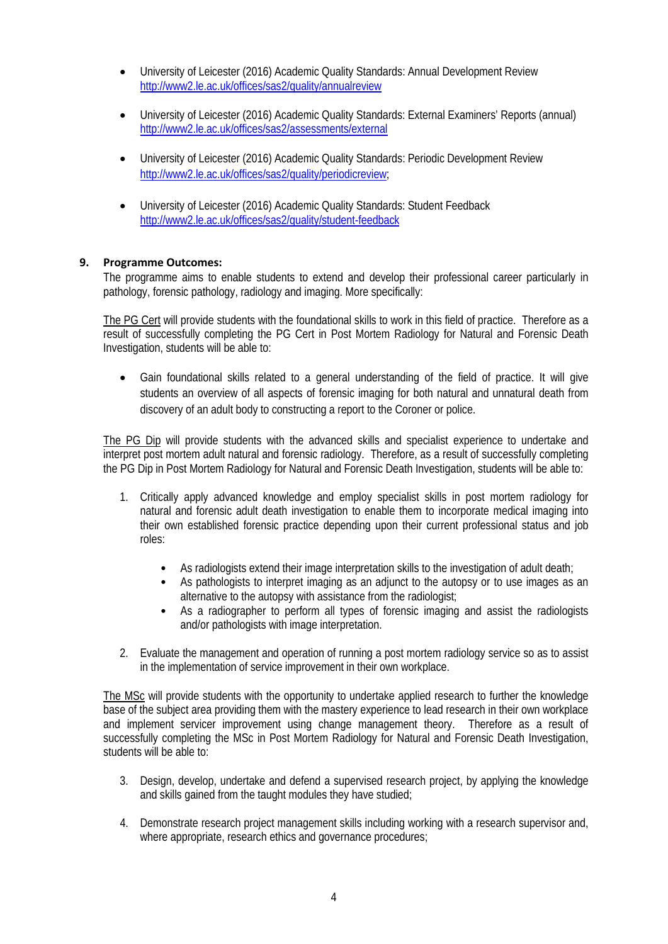- University of Leicester (2016) Academic Quality Standards: Annual Development Review <http://www2.le.ac.uk/offices/sas2/quality/annualreview>
- University of Leicester (2016) Academic Quality Standards: External Examiners' Reports (annual) <http://www2.le.ac.uk/offices/sas2/assessments/external>
- University of Leicester (2016) Academic Quality Standards: Periodic Development Review [http://www2.le.ac.uk/offices/sas2/quality/periodicreview;](http://www2.le.ac.uk/offices/sas2/quality/periodicreview)
- University of Leicester (2016) Academic Quality Standards: Student Feedback <http://www2.le.ac.uk/offices/sas2/quality/student-feedback>

### **9. Programme Outcomes:**

The programme aims to enable students to extend and develop their professional career particularly in pathology, forensic pathology, radiology and imaging. More specifically:

The PG Cert will provide students with the foundational skills to work in this field of practice. Therefore as a result of successfully completing the PG Cert in Post Mortem Radiology for Natural and Forensic Death Investigation, students will be able to:

• Gain foundational skills related to a general understanding of the field of practice. It will give students an overview of all aspects of forensic imaging for both natural and unnatural death from discovery of an adult body to constructing a report to the Coroner or police.

The PG Dip will provide students with the advanced skills and specialist experience to undertake and interpret post mortem adult natural and forensic radiology. Therefore, as a result of successfully completing the PG Dip in Post Mortem Radiology for Natural and Forensic Death Investigation, students will be able to:

- 1. Critically apply advanced knowledge and employ specialist skills in post mortem radiology for natural and forensic adult death investigation to enable them to incorporate medical imaging into their own established forensic practice depending upon their current professional status and job roles:
	- As radiologists extend their image interpretation skills to the investigation of adult death;
	- As pathologists to interpret imaging as an adjunct to the autopsy or to use images as an alternative to the autopsy with assistance from the radiologist;
	- As a radiographer to perform all types of forensic imaging and assist the radiologists and/or pathologists with image interpretation.
- 2. Evaluate the management and operation of running a post mortem radiology service so as to assist in the implementation of service improvement in their own workplace.

The MSc will provide students with the opportunity to undertake applied research to further the knowledge base of the subject area providing them with the mastery experience to lead research in their own workplace and implement servicer improvement using change management theory. Therefore as a result of successfully completing the MSc in Post Mortem Radiology for Natural and Forensic Death Investigation, students will be able to:

- 3. Design, develop, undertake and defend a supervised research project, by applying the knowledge and skills gained from the taught modules they have studied;
- 4. Demonstrate research project management skills including working with a research supervisor and, where appropriate, research ethics and governance procedures;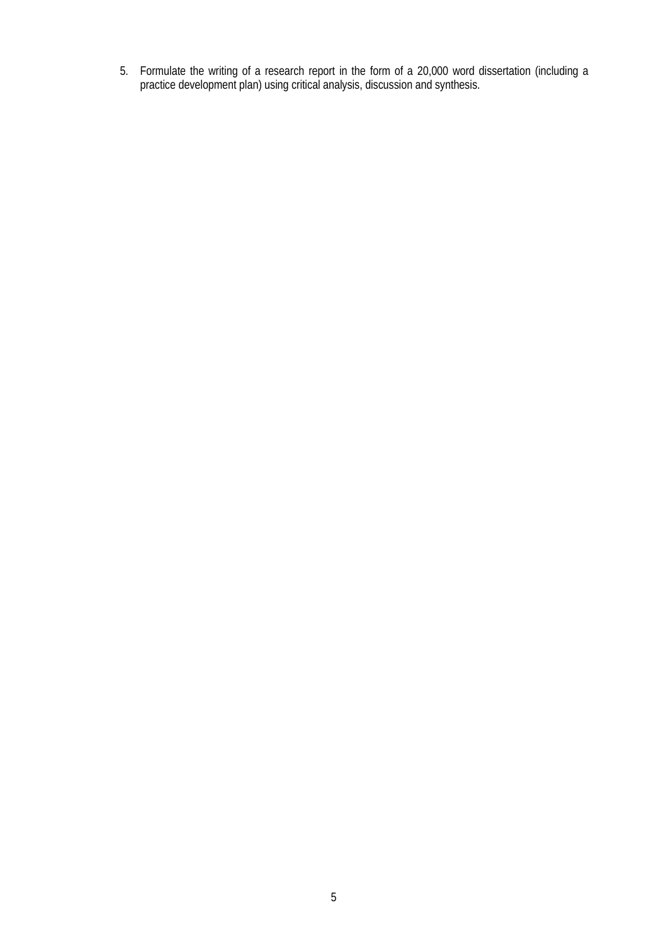5. Formulate the writing of a research report in the form of a 20,000 word dissertation (including a practice development plan) using critical analysis, discussion and synthesis.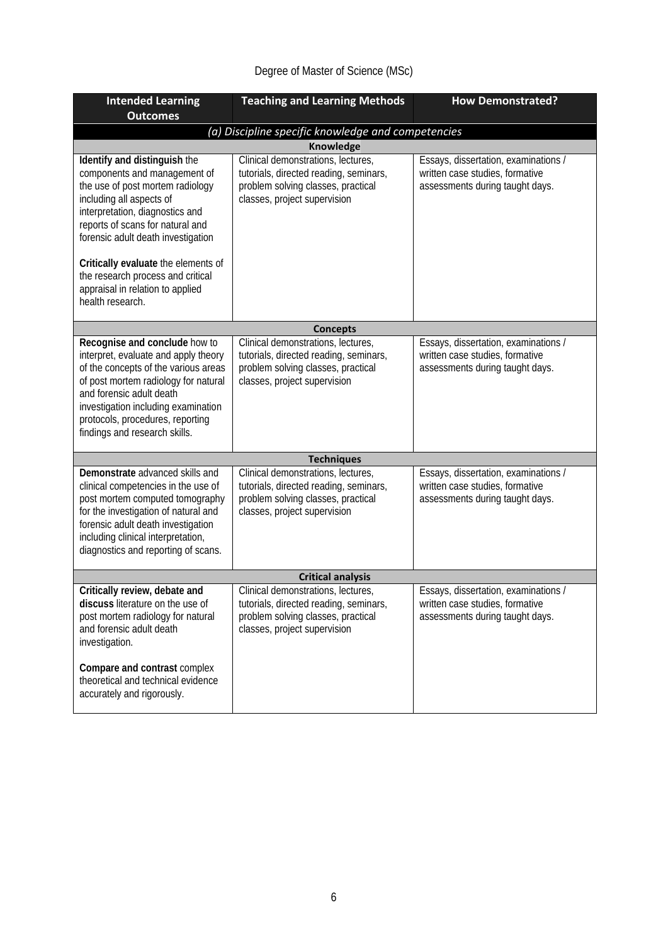# Degree of Master of Science (MSc)

| <b>Intended Learning</b>                                                                                                                                                                                                                                                                      | <b>Teaching and Learning Methods</b>                                                                                                               | <b>How Demonstrated?</b>                                                                                   |  |
|-----------------------------------------------------------------------------------------------------------------------------------------------------------------------------------------------------------------------------------------------------------------------------------------------|----------------------------------------------------------------------------------------------------------------------------------------------------|------------------------------------------------------------------------------------------------------------|--|
| <b>Outcomes</b>                                                                                                                                                                                                                                                                               |                                                                                                                                                    |                                                                                                            |  |
|                                                                                                                                                                                                                                                                                               | (a) Discipline specific knowledge and competencies                                                                                                 |                                                                                                            |  |
|                                                                                                                                                                                                                                                                                               | <b>Knowledge</b>                                                                                                                                   |                                                                                                            |  |
| Identify and distinguish the<br>components and management of<br>the use of post mortem radiology<br>including all aspects of<br>interpretation, diagnostics and<br>reports of scans for natural and<br>forensic adult death investigation                                                     | Clinical demonstrations, lectures,<br>tutorials, directed reading, seminars,<br>problem solving classes, practical<br>classes, project supervision | Essays, dissertation, examinations /<br>written case studies, formative<br>assessments during taught days. |  |
| Critically evaluate the elements of<br>the research process and critical<br>appraisal in relation to applied<br>health research.                                                                                                                                                              |                                                                                                                                                    |                                                                                                            |  |
|                                                                                                                                                                                                                                                                                               | <b>Concepts</b>                                                                                                                                    |                                                                                                            |  |
| Recognise and conclude how to<br>interpret, evaluate and apply theory<br>of the concepts of the various areas<br>of post mortem radiology for natural<br>and forensic adult death<br>investigation including examination<br>protocols, procedures, reporting<br>findings and research skills. | Clinical demonstrations, lectures,<br>tutorials, directed reading, seminars,<br>problem solving classes, practical<br>classes, project supervision | Essays, dissertation, examinations /<br>written case studies, formative<br>assessments during taught days. |  |
|                                                                                                                                                                                                                                                                                               | <b>Techniques</b>                                                                                                                                  |                                                                                                            |  |
| Demonstrate advanced skills and<br>clinical competencies in the use of<br>post mortem computed tomography<br>for the investigation of natural and<br>forensic adult death investigation<br>including clinical interpretation,<br>diagnostics and reporting of scans.                          | Clinical demonstrations, lectures,<br>tutorials, directed reading, seminars,<br>problem solving classes, practical<br>classes, project supervision | Essays, dissertation, examinations /<br>written case studies, formative<br>assessments during taught days. |  |
| <b>Critical analysis</b>                                                                                                                                                                                                                                                                      |                                                                                                                                                    |                                                                                                            |  |
| Critically review, debate and<br>discuss literature on the use of<br>post mortem radiology for natural<br>and forensic adult death<br>investigation.                                                                                                                                          | Clinical demonstrations, lectures,<br>tutorials, directed reading, seminars,<br>problem solving classes, practical<br>classes, project supervision | Essays, dissertation, examinations /<br>written case studies, formative<br>assessments during taught days. |  |
| Compare and contrast complex<br>theoretical and technical evidence<br>accurately and rigorously.                                                                                                                                                                                              |                                                                                                                                                    |                                                                                                            |  |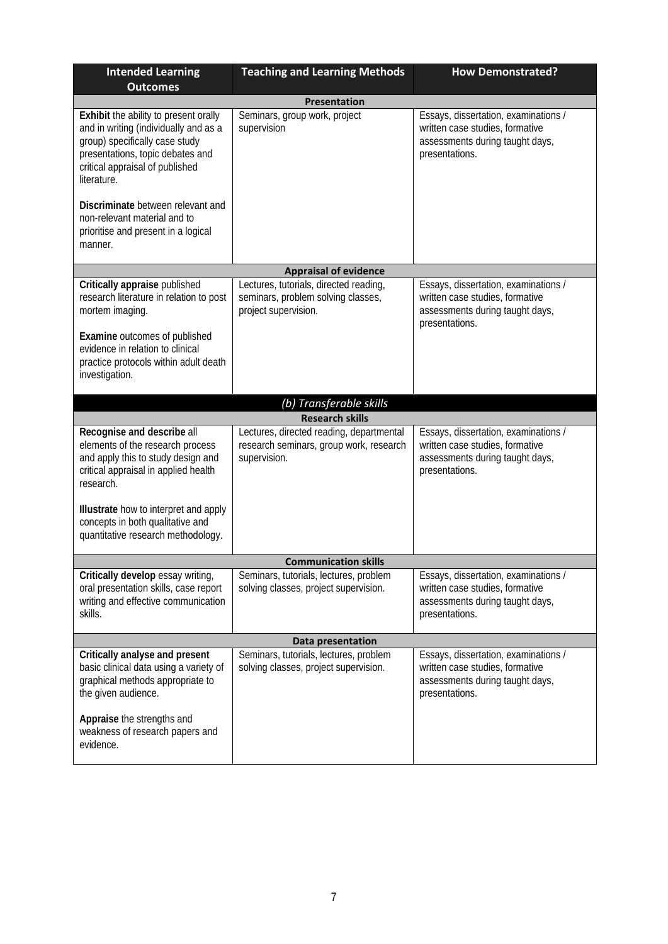| <b>Intended Learning</b><br><b>Outcomes</b>                                                                                                                                                            | <b>Teaching and Learning Methods</b>                                                                 | <b>How Demonstrated?</b>                                                                                                     |  |  |  |
|--------------------------------------------------------------------------------------------------------------------------------------------------------------------------------------------------------|------------------------------------------------------------------------------------------------------|------------------------------------------------------------------------------------------------------------------------------|--|--|--|
| <b>Presentation</b>                                                                                                                                                                                    |                                                                                                      |                                                                                                                              |  |  |  |
| Exhibit the ability to present orally<br>and in writing (individually and as a<br>group) specifically case study<br>presentations, topic debates and<br>critical appraisal of published<br>literature. | Seminars, group work, project<br>supervision                                                         | Essays, dissertation, examinations /<br>written case studies, formative<br>assessments during taught days,<br>presentations. |  |  |  |
| Discriminate between relevant and<br>non-relevant material and to<br>prioritise and present in a logical<br>manner.                                                                                    |                                                                                                      |                                                                                                                              |  |  |  |
|                                                                                                                                                                                                        | <b>Appraisal of evidence</b>                                                                         |                                                                                                                              |  |  |  |
| Critically appraise published<br>research literature in relation to post<br>mortem imaging.                                                                                                            | Lectures, tutorials, directed reading,<br>seminars, problem solving classes,<br>project supervision. | Essays, dissertation, examinations /<br>written case studies, formative<br>assessments during taught days,<br>presentations. |  |  |  |
| <b>Examine outcomes of published</b><br>evidence in relation to clinical<br>practice protocols within adult death<br>investigation.                                                                    |                                                                                                      |                                                                                                                              |  |  |  |
|                                                                                                                                                                                                        | (b) Transferable skills                                                                              |                                                                                                                              |  |  |  |
|                                                                                                                                                                                                        | <b>Research skills</b>                                                                               |                                                                                                                              |  |  |  |
| Recognise and describe all<br>elements of the research process<br>and apply this to study design and<br>critical appraisal in applied health<br>research.                                              | Lectures, directed reading, departmental<br>research seminars, group work, research<br>supervision.  | Essays, dissertation, examinations /<br>written case studies, formative<br>assessments during taught days,<br>presentations. |  |  |  |
| Illustrate how to interpret and apply<br>concepts in both qualitative and<br>quantitative research methodology.                                                                                        |                                                                                                      |                                                                                                                              |  |  |  |
|                                                                                                                                                                                                        | <b>Communication skills</b>                                                                          |                                                                                                                              |  |  |  |
| Critically develop essay writing,<br>oral presentation skills, case report<br>writing and effective communication<br>skills.                                                                           | Seminars, tutorials, lectures, problem<br>solving classes, project supervision.                      | Essays, dissertation, examinations /<br>written case studies, formative<br>assessments during taught days,<br>presentations. |  |  |  |
| Data presentation                                                                                                                                                                                      |                                                                                                      |                                                                                                                              |  |  |  |
| Critically analyse and present<br>basic clinical data using a variety of<br>graphical methods appropriate to<br>the given audience.                                                                    | Seminars, tutorials, lectures, problem<br>solving classes, project supervision.                      | Essays, dissertation, examinations /<br>written case studies, formative<br>assessments during taught days,<br>presentations. |  |  |  |
| Appraise the strengths and<br>weakness of research papers and<br>evidence.                                                                                                                             |                                                                                                      |                                                                                                                              |  |  |  |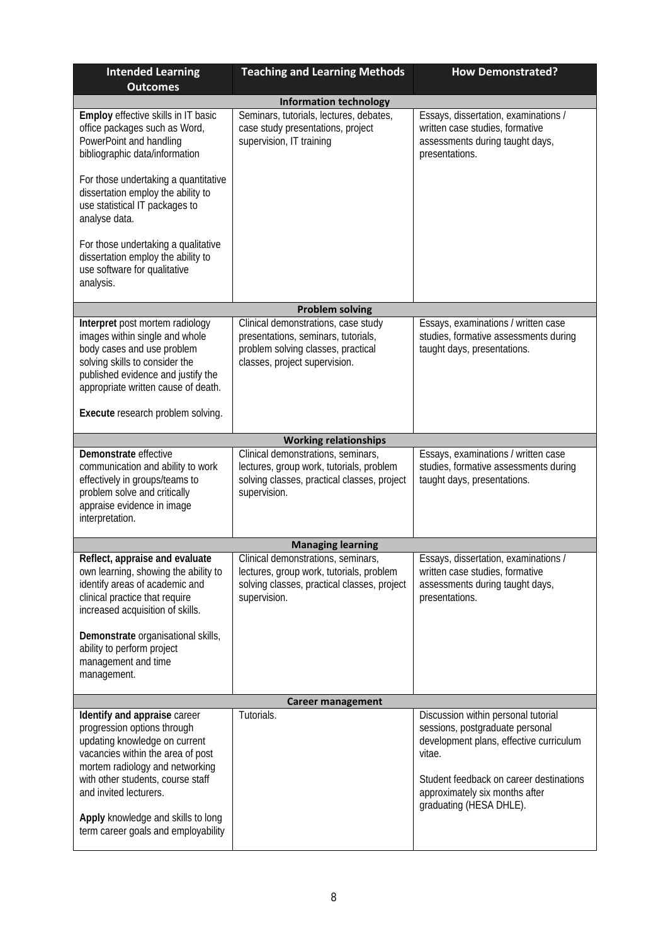| <b>Intended Learning</b>                                                                                                                                                                                                                                                                                         | <b>Teaching and Learning Methods</b>                                                                                                              | <b>How Demonstrated?</b>                                                                                                                                                                                                            |  |  |
|------------------------------------------------------------------------------------------------------------------------------------------------------------------------------------------------------------------------------------------------------------------------------------------------------------------|---------------------------------------------------------------------------------------------------------------------------------------------------|-------------------------------------------------------------------------------------------------------------------------------------------------------------------------------------------------------------------------------------|--|--|
| <b>Outcomes</b>                                                                                                                                                                                                                                                                                                  |                                                                                                                                                   |                                                                                                                                                                                                                                     |  |  |
| <b>Information technology</b>                                                                                                                                                                                                                                                                                    |                                                                                                                                                   |                                                                                                                                                                                                                                     |  |  |
| Employ effective skills in IT basic<br>office packages such as Word,<br>PowerPoint and handling<br>bibliographic data/information                                                                                                                                                                                | Seminars, tutorials, lectures, debates,<br>case study presentations, project<br>supervision, IT training                                          | Essays, dissertation, examinations /<br>written case studies, formative<br>assessments during taught days,<br>presentations.                                                                                                        |  |  |
| For those undertaking a quantitative<br>dissertation employ the ability to<br>use statistical IT packages to<br>analyse data.                                                                                                                                                                                    |                                                                                                                                                   |                                                                                                                                                                                                                                     |  |  |
| For those undertaking a qualitative<br>dissertation employ the ability to<br>use software for qualitative<br>analysis.                                                                                                                                                                                           |                                                                                                                                                   |                                                                                                                                                                                                                                     |  |  |
|                                                                                                                                                                                                                                                                                                                  | <b>Problem solving</b>                                                                                                                            |                                                                                                                                                                                                                                     |  |  |
| Interpret post mortem radiology<br>images within single and whole<br>body cases and use problem<br>solving skills to consider the<br>published evidence and justify the<br>appropriate written cause of death.                                                                                                   | Clinical demonstrations, case study<br>presentations, seminars, tutorials,<br>problem solving classes, practical<br>classes, project supervision. | Essays, examinations / written case<br>studies, formative assessments during<br>taught days, presentations.                                                                                                                         |  |  |
| Execute research problem solving.                                                                                                                                                                                                                                                                                |                                                                                                                                                   |                                                                                                                                                                                                                                     |  |  |
|                                                                                                                                                                                                                                                                                                                  | <b>Working relationships</b>                                                                                                                      |                                                                                                                                                                                                                                     |  |  |
| Demonstrate effective<br>communication and ability to work<br>effectively in groups/teams to<br>problem solve and critically<br>appraise evidence in image<br>interpretation.                                                                                                                                    | Clinical demonstrations, seminars,<br>lectures, group work, tutorials, problem<br>solving classes, practical classes, project<br>supervision.     | Essays, examinations / written case<br>studies, formative assessments during<br>taught days, presentations.                                                                                                                         |  |  |
|                                                                                                                                                                                                                                                                                                                  | <b>Managing learning</b>                                                                                                                          |                                                                                                                                                                                                                                     |  |  |
| Reflect, appraise and evaluate<br>own learning, showing the ability to<br>identify areas of academic and<br>clinical practice that require<br>increased acquisition of skills.<br>Demonstrate organisational skills,<br>ability to perform project                                                               | Clinical demonstrations, seminars,<br>lectures, group work, tutorials, problem<br>solving classes, practical classes, project<br>supervision.     | Essays, dissertation, examinations /<br>written case studies, formative<br>assessments during taught days,<br>presentations.                                                                                                        |  |  |
| management and time<br>management.                                                                                                                                                                                                                                                                               |                                                                                                                                                   |                                                                                                                                                                                                                                     |  |  |
| <b>Career management</b>                                                                                                                                                                                                                                                                                         |                                                                                                                                                   |                                                                                                                                                                                                                                     |  |  |
| Identify and appraise career<br>progression options through<br>updating knowledge on current<br>vacancies within the area of post<br>mortem radiology and networking<br>with other students, course staff<br>and invited lecturers.<br>Apply knowledge and skills to long<br>term career goals and employability | Tutorials.                                                                                                                                        | Discussion within personal tutorial<br>sessions, postgraduate personal<br>development plans, effective curriculum<br>vitae.<br>Student feedback on career destinations<br>approximately six months after<br>graduating (HESA DHLE). |  |  |
|                                                                                                                                                                                                                                                                                                                  |                                                                                                                                                   |                                                                                                                                                                                                                                     |  |  |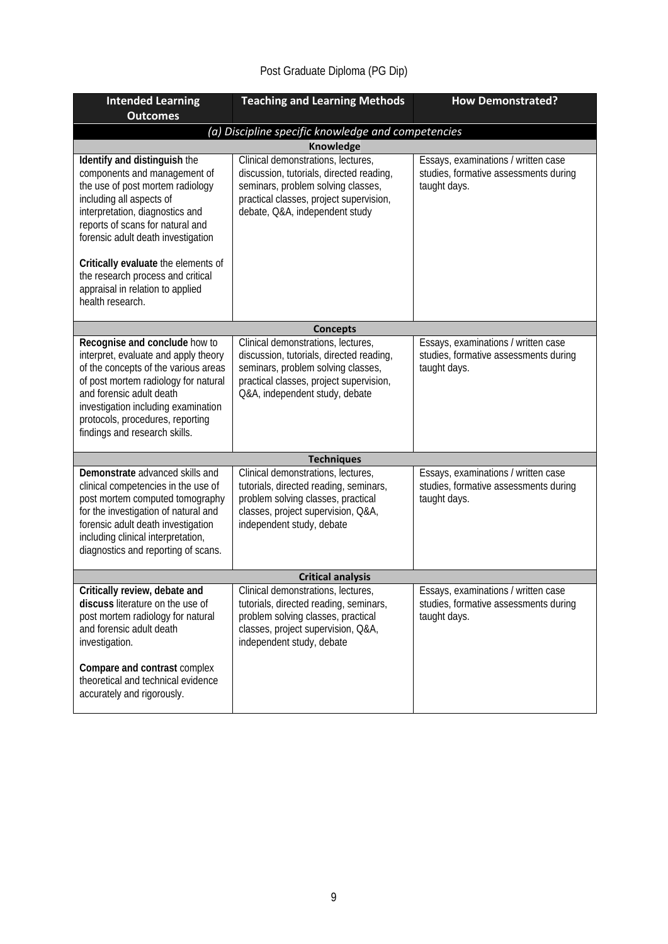# Post Graduate Diploma (PG Dip)

| <b>Intended Learning</b>                                                                                                                                                                                                                                                                      | <b>Teaching and Learning Methods</b>                                                                                                                                                              | <b>How Demonstrated?</b>                                                                     |  |
|-----------------------------------------------------------------------------------------------------------------------------------------------------------------------------------------------------------------------------------------------------------------------------------------------|---------------------------------------------------------------------------------------------------------------------------------------------------------------------------------------------------|----------------------------------------------------------------------------------------------|--|
| <b>Outcomes</b>                                                                                                                                                                                                                                                                               |                                                                                                                                                                                                   |                                                                                              |  |
|                                                                                                                                                                                                                                                                                               | (a) Discipline specific knowledge and competencies                                                                                                                                                |                                                                                              |  |
|                                                                                                                                                                                                                                                                                               | <b>Knowledge</b>                                                                                                                                                                                  |                                                                                              |  |
| Identify and distinguish the<br>components and management of<br>the use of post mortem radiology<br>including all aspects of<br>interpretation, diagnostics and<br>reports of scans for natural and<br>forensic adult death investigation                                                     | Clinical demonstrations, lectures,<br>discussion, tutorials, directed reading,<br>seminars, problem solving classes,<br>practical classes, project supervision,<br>debate, Q&A, independent study | Essays, examinations / written case<br>studies, formative assessments during<br>taught days. |  |
| Critically evaluate the elements of<br>the research process and critical<br>appraisal in relation to applied<br>health research.                                                                                                                                                              |                                                                                                                                                                                                   |                                                                                              |  |
|                                                                                                                                                                                                                                                                                               | <b>Concepts</b>                                                                                                                                                                                   |                                                                                              |  |
| Recognise and conclude how to<br>interpret, evaluate and apply theory<br>of the concepts of the various areas<br>of post mortem radiology for natural<br>and forensic adult death<br>investigation including examination<br>protocols, procedures, reporting<br>findings and research skills. | Clinical demonstrations, lectures,<br>discussion, tutorials, directed reading,<br>seminars, problem solving classes,<br>practical classes, project supervision,<br>Q&A, independent study, debate | Essays, examinations / written case<br>studies, formative assessments during<br>taught days. |  |
|                                                                                                                                                                                                                                                                                               | <b>Techniques</b>                                                                                                                                                                                 |                                                                                              |  |
| Demonstrate advanced skills and<br>clinical competencies in the use of<br>post mortem computed tomography<br>for the investigation of natural and<br>forensic adult death investigation<br>including clinical interpretation,<br>diagnostics and reporting of scans.                          | Clinical demonstrations, lectures,<br>tutorials, directed reading, seminars,<br>problem solving classes, practical<br>classes, project supervision, Q&A,<br>independent study, debate             | Essays, examinations / written case<br>studies, formative assessments during<br>taught days. |  |
| <b>Critical analysis</b>                                                                                                                                                                                                                                                                      |                                                                                                                                                                                                   |                                                                                              |  |
| Critically review, debate and<br>discuss literature on the use of<br>post mortem radiology for natural<br>and forensic adult death<br>investigation.<br>Compare and contrast complex<br>theoretical and technical evidence                                                                    | Clinical demonstrations, lectures,<br>tutorials, directed reading, seminars,<br>problem solving classes, practical<br>classes, project supervision, Q&A,<br>independent study, debate             | Essays, examinations / written case<br>studies, formative assessments during<br>taught days. |  |
| accurately and rigorously.                                                                                                                                                                                                                                                                    |                                                                                                                                                                                                   |                                                                                              |  |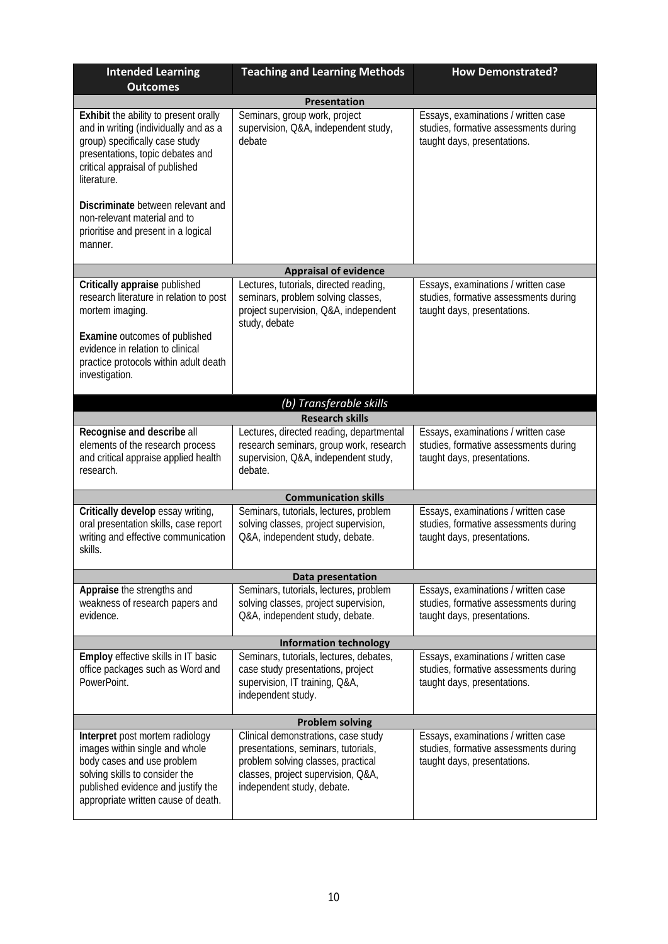| <b>Intended Learning</b><br><b>Outcomes</b>                                                                                                                                                                                 | <b>Teaching and Learning Methods</b>                                                                                                                                                 | <b>How Demonstrated?</b>                                                                                    |  |  |
|-----------------------------------------------------------------------------------------------------------------------------------------------------------------------------------------------------------------------------|--------------------------------------------------------------------------------------------------------------------------------------------------------------------------------------|-------------------------------------------------------------------------------------------------------------|--|--|
|                                                                                                                                                                                                                             | <b>Presentation</b>                                                                                                                                                                  |                                                                                                             |  |  |
| Exhibit the ability to present orally<br>and in writing (individually and as a<br>group) specifically case study<br>presentations, topic debates and<br>critical appraisal of published<br>literature.                      | Seminars, group work, project<br>supervision, Q&A, independent study,<br>debate                                                                                                      | Essays, examinations / written case<br>studies, formative assessments during<br>taught days, presentations. |  |  |
| Discriminate between relevant and<br>non-relevant material and to<br>prioritise and present in a logical<br>manner.                                                                                                         |                                                                                                                                                                                      |                                                                                                             |  |  |
|                                                                                                                                                                                                                             | <b>Appraisal of evidence</b>                                                                                                                                                         |                                                                                                             |  |  |
| Critically appraise published<br>research literature in relation to post<br>mortem imaging.<br>Examine outcomes of published<br>evidence in relation to clinical<br>practice protocols within adult death<br>investigation. | Lectures, tutorials, directed reading,<br>seminars, problem solving classes,<br>project supervision, Q&A, independent<br>study, debate                                               | Essays, examinations / written case<br>studies, formative assessments during<br>taught days, presentations. |  |  |
|                                                                                                                                                                                                                             | (b) Transferable skills                                                                                                                                                              |                                                                                                             |  |  |
|                                                                                                                                                                                                                             | <b>Research skills</b>                                                                                                                                                               |                                                                                                             |  |  |
| Recognise and describe all<br>elements of the research process<br>and critical appraise applied health<br>research.                                                                                                         | Lectures, directed reading, departmental<br>research seminars, group work, research<br>supervision, Q&A, independent study,<br>debate.                                               | Essays, examinations / written case<br>studies, formative assessments during<br>taught days, presentations. |  |  |
|                                                                                                                                                                                                                             | <b>Communication skills</b>                                                                                                                                                          |                                                                                                             |  |  |
| Critically develop essay writing,<br>oral presentation skills, case report<br>writing and effective communication<br>skills.                                                                                                | Seminars, tutorials, lectures, problem<br>solving classes, project supervision,<br>Q&A, independent study, debate.                                                                   | Essays, examinations / written case<br>studies, formative assessments during<br>taught days, presentations. |  |  |
|                                                                                                                                                                                                                             | Data presentation                                                                                                                                                                    |                                                                                                             |  |  |
| Appraise the strengths and<br>weakness of research papers and<br>evidence.                                                                                                                                                  | Seminars, tutorials, lectures, problem<br>solving classes, project supervision,<br>Q&A, independent study, debate.                                                                   | Essays, examinations / written case<br>studies, formative assessments during<br>taught days, presentations. |  |  |
|                                                                                                                                                                                                                             | <b>Information technology</b>                                                                                                                                                        |                                                                                                             |  |  |
| Employ effective skills in IT basic<br>office packages such as Word and<br>PowerPoint.                                                                                                                                      | Seminars, tutorials, lectures, debates,<br>case study presentations, project<br>supervision, IT training, Q&A,<br>independent study.                                                 | Essays, examinations / written case<br>studies, formative assessments during<br>taught days, presentations. |  |  |
| <b>Problem solving</b>                                                                                                                                                                                                      |                                                                                                                                                                                      |                                                                                                             |  |  |
| Interpret post mortem radiology<br>images within single and whole<br>body cases and use problem<br>solving skills to consider the<br>published evidence and justify the<br>appropriate written cause of death.              | Clinical demonstrations, case study<br>presentations, seminars, tutorials,<br>problem solving classes, practical<br>classes, project supervision, Q&A,<br>independent study, debate. | Essays, examinations / written case<br>studies, formative assessments during<br>taught days, presentations. |  |  |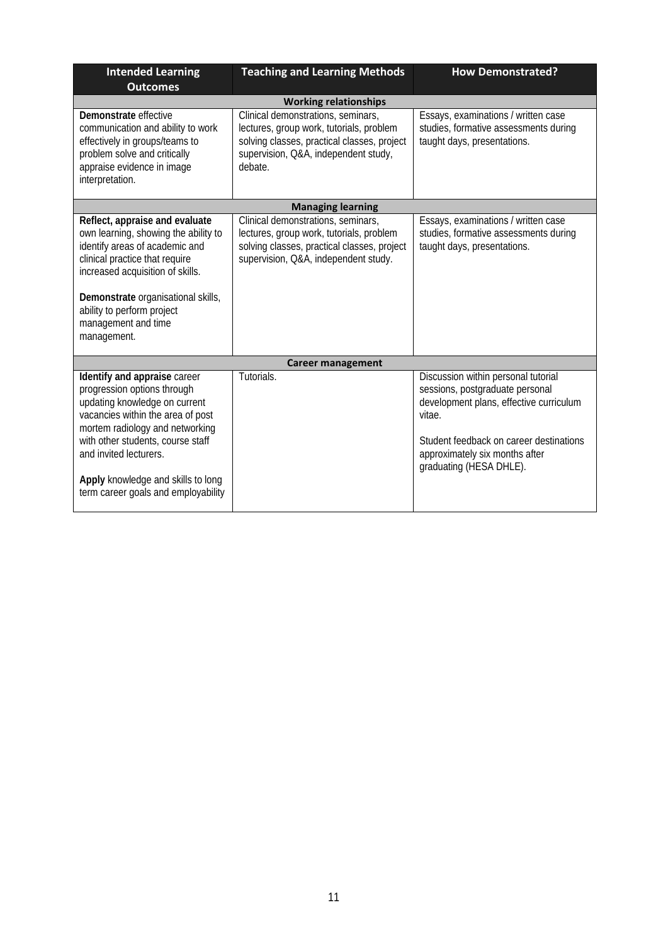| <b>Intended Learning</b><br><b>Outcomes</b>                                                                                                                                                                                                                                                                      | <b>Teaching and Learning Methods</b>                                                                                                                                             | <b>How Demonstrated?</b>                                                                                                                                                                                                            |
|------------------------------------------------------------------------------------------------------------------------------------------------------------------------------------------------------------------------------------------------------------------------------------------------------------------|----------------------------------------------------------------------------------------------------------------------------------------------------------------------------------|-------------------------------------------------------------------------------------------------------------------------------------------------------------------------------------------------------------------------------------|
|                                                                                                                                                                                                                                                                                                                  | <b>Working relationships</b>                                                                                                                                                     |                                                                                                                                                                                                                                     |
| Demonstrate effective<br>communication and ability to work<br>effectively in groups/teams to<br>problem solve and critically<br>appraise evidence in image<br>interpretation.                                                                                                                                    | Clinical demonstrations, seminars,<br>lectures, group work, tutorials, problem<br>solving classes, practical classes, project<br>supervision, Q&A, independent study,<br>debate. | Essays, examinations / written case<br>studies, formative assessments during<br>taught days, presentations.                                                                                                                         |
|                                                                                                                                                                                                                                                                                                                  | <b>Managing learning</b>                                                                                                                                                         |                                                                                                                                                                                                                                     |
| Reflect, appraise and evaluate<br>own learning, showing the ability to<br>identify areas of academic and<br>clinical practice that require<br>increased acquisition of skills.<br>Demonstrate organisational skills,<br>ability to perform project<br>management and time<br>management.                         | Clinical demonstrations, seminars,<br>lectures, group work, tutorials, problem<br>solving classes, practical classes, project<br>supervision, Q&A, independent study.            | Essays, examinations / written case<br>studies, formative assessments during<br>taught days, presentations.                                                                                                                         |
|                                                                                                                                                                                                                                                                                                                  | <b>Career management</b>                                                                                                                                                         |                                                                                                                                                                                                                                     |
| Identify and appraise career<br>progression options through<br>updating knowledge on current<br>vacancies within the area of post<br>mortem radiology and networking<br>with other students, course staff<br>and invited lecturers.<br>Apply knowledge and skills to long<br>term career goals and employability | Tutorials.                                                                                                                                                                       | Discussion within personal tutorial<br>sessions, postgraduate personal<br>development plans, effective curriculum<br>vitae.<br>Student feedback on career destinations<br>approximately six months after<br>graduating (HESA DHLE). |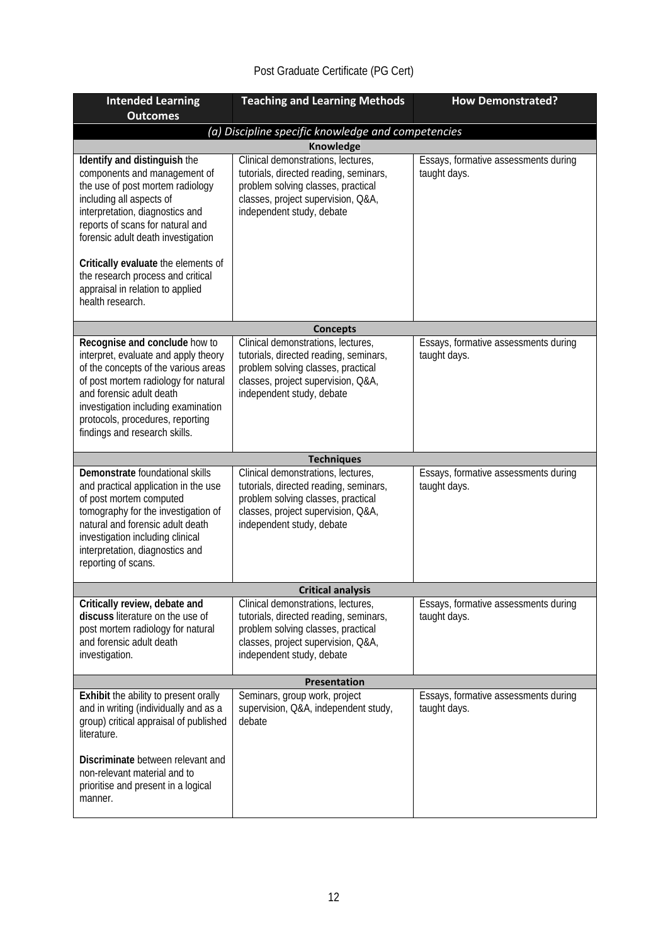# Post Graduate Certificate (PG Cert)

| <b>Intended Learning</b><br><b>Outcomes</b>                                                                                                                                                                                                                                                   | <b>Teaching and Learning Methods</b>                                                                                                                                                  | <b>How Demonstrated?</b>                             |  |  |
|-----------------------------------------------------------------------------------------------------------------------------------------------------------------------------------------------------------------------------------------------------------------------------------------------|---------------------------------------------------------------------------------------------------------------------------------------------------------------------------------------|------------------------------------------------------|--|--|
| (a) Discipline specific knowledge and competencies                                                                                                                                                                                                                                            |                                                                                                                                                                                       |                                                      |  |  |
| Knowledge                                                                                                                                                                                                                                                                                     |                                                                                                                                                                                       |                                                      |  |  |
| Identify and distinguish the<br>components and management of<br>the use of post mortem radiology<br>including all aspects of<br>interpretation, diagnostics and<br>reports of scans for natural and<br>forensic adult death investigation<br>Critically evaluate the elements of              | Clinical demonstrations, lectures,<br>tutorials, directed reading, seminars,<br>problem solving classes, practical<br>classes, project supervision, Q&A,<br>independent study, debate | Essays, formative assessments during<br>taught days. |  |  |
| the research process and critical<br>appraisal in relation to applied<br>health research.                                                                                                                                                                                                     |                                                                                                                                                                                       |                                                      |  |  |
|                                                                                                                                                                                                                                                                                               | <b>Concepts</b>                                                                                                                                                                       |                                                      |  |  |
| Recognise and conclude how to<br>interpret, evaluate and apply theory<br>of the concepts of the various areas<br>of post mortem radiology for natural<br>and forensic adult death<br>investigation including examination<br>protocols, procedures, reporting<br>findings and research skills. | Clinical demonstrations, lectures,<br>tutorials, directed reading, seminars,<br>problem solving classes, practical<br>classes, project supervision, Q&A,<br>independent study, debate | Essays, formative assessments during<br>taught days. |  |  |
|                                                                                                                                                                                                                                                                                               | <b>Techniques</b>                                                                                                                                                                     |                                                      |  |  |
| Demonstrate foundational skills<br>and practical application in the use<br>of post mortem computed<br>tomography for the investigation of<br>natural and forensic adult death<br>investigation including clinical<br>interpretation, diagnostics and<br>reporting of scans.                   | Clinical demonstrations, lectures,<br>tutorials, directed reading, seminars,<br>problem solving classes, practical<br>classes, project supervision, Q&A,<br>independent study, debate | Essays, formative assessments during<br>taught days. |  |  |
|                                                                                                                                                                                                                                                                                               | <b>Critical analysis</b>                                                                                                                                                              |                                                      |  |  |
| Critically review, debate and<br>discuss literature on the use of<br>post mortem radiology for natural<br>and forensic adult death<br>investigation.                                                                                                                                          | Clinical demonstrations, lectures,<br>tutorials, directed reading, seminars,<br>problem solving classes, practical<br>classes, project supervision, Q&A,<br>independent study, debate | Essays, formative assessments during<br>taught days. |  |  |
|                                                                                                                                                                                                                                                                                               | Presentation                                                                                                                                                                          |                                                      |  |  |
| Exhibit the ability to present orally<br>and in writing (individually and as a<br>group) critical appraisal of published<br>literature.                                                                                                                                                       | Seminars, group work, project<br>supervision, Q&A, independent study,<br>debate                                                                                                       | Essays, formative assessments during<br>taught days. |  |  |
| Discriminate between relevant and<br>non-relevant material and to<br>prioritise and present in a logical<br>manner.                                                                                                                                                                           |                                                                                                                                                                                       |                                                      |  |  |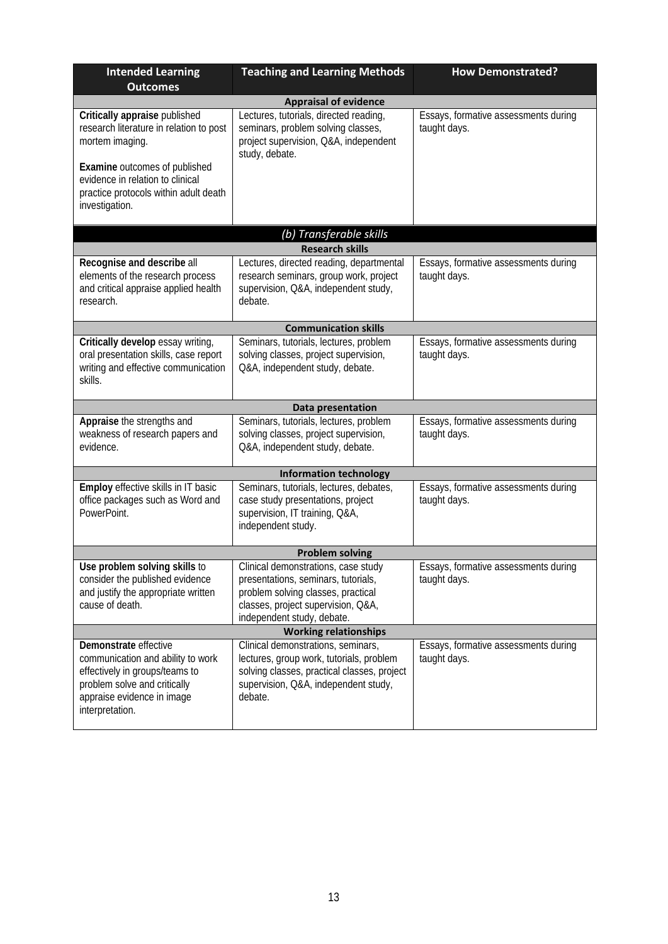| <b>Intended Learning</b><br><b>Outcomes</b>                                                                                                                                                                                 | <b>Teaching and Learning Methods</b>                                                                                                                                                 | <b>How Demonstrated?</b>                             |  |  |
|-----------------------------------------------------------------------------------------------------------------------------------------------------------------------------------------------------------------------------|--------------------------------------------------------------------------------------------------------------------------------------------------------------------------------------|------------------------------------------------------|--|--|
|                                                                                                                                                                                                                             | <b>Appraisal of evidence</b>                                                                                                                                                         |                                                      |  |  |
| Critically appraise published<br>research literature in relation to post<br>mortem imaging.<br>Examine outcomes of published<br>evidence in relation to clinical<br>practice protocols within adult death<br>investigation. | Lectures, tutorials, directed reading,<br>seminars, problem solving classes,<br>project supervision, Q&A, independent<br>study, debate.                                              | Essays, formative assessments during<br>taught days. |  |  |
|                                                                                                                                                                                                                             | (b) Transferable skills                                                                                                                                                              |                                                      |  |  |
|                                                                                                                                                                                                                             | <b>Research skills</b>                                                                                                                                                               |                                                      |  |  |
| Recognise and describe all<br>elements of the research process<br>and critical appraise applied health<br>research.                                                                                                         | Lectures, directed reading, departmental<br>research seminars, group work, project<br>supervision, Q&A, independent study,<br>debate.                                                | Essays, formative assessments during<br>taught days. |  |  |
|                                                                                                                                                                                                                             | <b>Communication skills</b>                                                                                                                                                          |                                                      |  |  |
| Critically develop essay writing,<br>oral presentation skills, case report<br>writing and effective communication<br>skills.                                                                                                | Seminars, tutorials, lectures, problem<br>solving classes, project supervision,<br>Q&A, independent study, debate.                                                                   | Essays, formative assessments during<br>taught days. |  |  |
|                                                                                                                                                                                                                             | Data presentation                                                                                                                                                                    |                                                      |  |  |
| Appraise the strengths and<br>weakness of research papers and<br>evidence.                                                                                                                                                  | Seminars, tutorials, lectures, problem<br>solving classes, project supervision,<br>Q&A, independent study, debate.                                                                   | Essays, formative assessments during<br>taught days. |  |  |
|                                                                                                                                                                                                                             | <b>Information technology</b>                                                                                                                                                        |                                                      |  |  |
| Employ effective skills in IT basic<br>office packages such as Word and<br>PowerPoint.                                                                                                                                      | Seminars, tutorials, lectures, debates,<br>case study presentations, project<br>supervision, IT training, Q&A,<br>independent study.                                                 | Essays, formative assessments during<br>taught days. |  |  |
| <b>Problem solving</b>                                                                                                                                                                                                      |                                                                                                                                                                                      |                                                      |  |  |
| Use problem solving skills to<br>consider the published evidence<br>and justify the appropriate written<br>cause of death.                                                                                                  | Clinical demonstrations, case study<br>presentations, seminars, tutorials,<br>problem solving classes, practical<br>classes, project supervision, Q&A,<br>independent study, debate. | Essays, formative assessments during<br>taught days. |  |  |
|                                                                                                                                                                                                                             | <b>Working relationships</b>                                                                                                                                                         |                                                      |  |  |
| Demonstrate effective<br>communication and ability to work<br>effectively in groups/teams to<br>problem solve and critically<br>appraise evidence in image<br>interpretation.                                               | Clinical demonstrations, seminars,<br>lectures, group work, tutorials, problem<br>solving classes, practical classes, project<br>supervision, Q&A, independent study,<br>debate.     | Essays, formative assessments during<br>taught days. |  |  |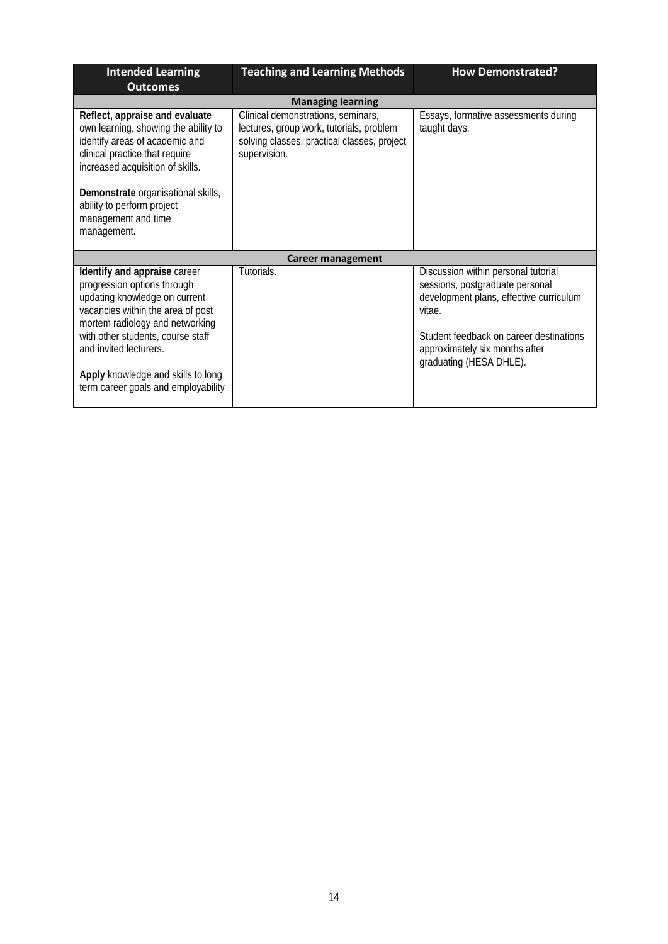| <b>Intended Learning</b>                                                                                                                                                                                                                                                                                         | <b>Teaching and Learning Methods</b>                                                                                                          | <b>How Demonstrated?</b>                                                                                                                                                                                                            |
|------------------------------------------------------------------------------------------------------------------------------------------------------------------------------------------------------------------------------------------------------------------------------------------------------------------|-----------------------------------------------------------------------------------------------------------------------------------------------|-------------------------------------------------------------------------------------------------------------------------------------------------------------------------------------------------------------------------------------|
| <b>Outcomes</b>                                                                                                                                                                                                                                                                                                  |                                                                                                                                               |                                                                                                                                                                                                                                     |
|                                                                                                                                                                                                                                                                                                                  | <b>Managing learning</b>                                                                                                                      |                                                                                                                                                                                                                                     |
| Reflect, appraise and evaluate<br>own learning, showing the ability to<br>identify areas of academic and<br>clinical practice that require<br>increased acquisition of skills.                                                                                                                                   | Clinical demonstrations, seminars,<br>lectures, group work, tutorials, problem<br>solving classes, practical classes, project<br>supervision. | Essays, formative assessments during<br>taught days.                                                                                                                                                                                |
| Demonstrate organisational skills,<br>ability to perform project<br>management and time<br>management.                                                                                                                                                                                                           |                                                                                                                                               |                                                                                                                                                                                                                                     |
|                                                                                                                                                                                                                                                                                                                  | <b>Career management</b>                                                                                                                      |                                                                                                                                                                                                                                     |
| Identify and appraise career<br>progression options through<br>updating knowledge on current<br>vacancies within the area of post<br>mortem radiology and networking<br>with other students, course staff<br>and invited lecturers.<br>Apply knowledge and skills to long<br>term career goals and employability | Tutorials.                                                                                                                                    | Discussion within personal tutorial<br>sessions, postgraduate personal<br>development plans, effective curriculum<br>vitae.<br>Student feedback on career destinations<br>approximately six months after<br>graduating (HESA DHLE). |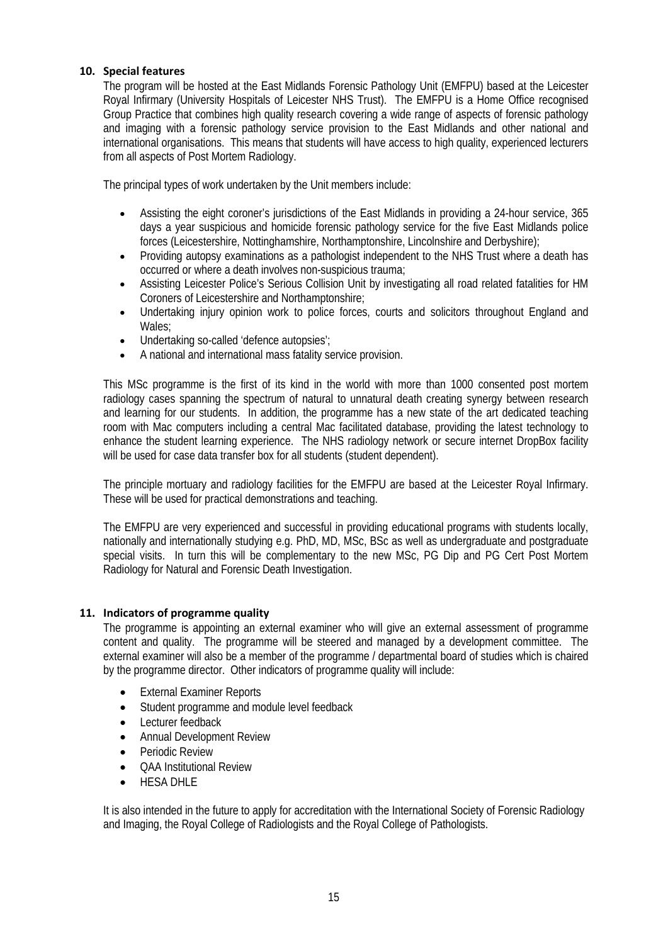### **10. Special features**

The program will be hosted at the East Midlands Forensic Pathology Unit (EMFPU) based at the Leicester Royal Infirmary (University Hospitals of Leicester NHS Trust). The EMFPU is a Home Office recognised Group Practice that combines high quality research covering a wide range of aspects of forensic pathology and imaging with a forensic pathology service provision to the East Midlands and other national and international organisations. This means that students will have access to high quality, experienced lecturers from all aspects of Post Mortem Radiology.

The principal types of work undertaken by the Unit members include:

- Assisting the eight coroner's jurisdictions of the East Midlands in providing a 24-hour service, 365 days a year suspicious and homicide forensic pathology service for the five East Midlands police forces (Leicestershire, Nottinghamshire, Northamptonshire, Lincolnshire and Derbyshire);
- Providing autopsy examinations as a pathologist independent to the NHS Trust where a death has occurred or where a death involves non-suspicious trauma;
- Assisting Leicester Police's Serious Collision Unit by investigating all road related fatalities for HM Coroners of Leicestershire and Northamptonshire;
- Undertaking injury opinion work to police forces, courts and solicitors throughout England and Wales;
- Undertaking so-called 'defence autopsies';
- A national and international mass fatality service provision.

This MSc programme is the first of its kind in the world with more than 1000 consented post mortem radiology cases spanning the spectrum of natural to unnatural death creating synergy between research and learning for our students. In addition, the programme has a new state of the art dedicated teaching room with Mac computers including a central Mac facilitated database, providing the latest technology to enhance the student learning experience. The NHS radiology network or secure internet DropBox facility will be used for case data transfer box for all students (student dependent).

The principle mortuary and radiology facilities for the EMFPU are based at the Leicester Royal Infirmary. These will be used for practical demonstrations and teaching.

The EMFPU are very experienced and successful in providing educational programs with students locally, nationally and internationally studying e.g. PhD, MD, MSc, BSc as well as undergraduate and postgraduate special visits. In turn this will be complementary to the new MSc, PG Dip and PG Cert Post Mortem Radiology for Natural and Forensic Death Investigation.

### **11. Indicators of programme quality**

The programme is appointing an external examiner who will give an external assessment of programme content and quality. The programme will be steered and managed by a development committee. The external examiner will also be a member of the programme / departmental board of studies which is chaired by the programme director. Other indicators of programme quality will include:

- External Examiner Reports
- Student programme and module level feedback
- Lecturer feedback
- Annual Development Review
- Periodic Review
- QAA Institutional Review
- HESA DHIF

It is also intended in the future to apply for accreditation with the International Society of Forensic Radiology and Imaging, the Royal College of Radiologists and the Royal College of Pathologists.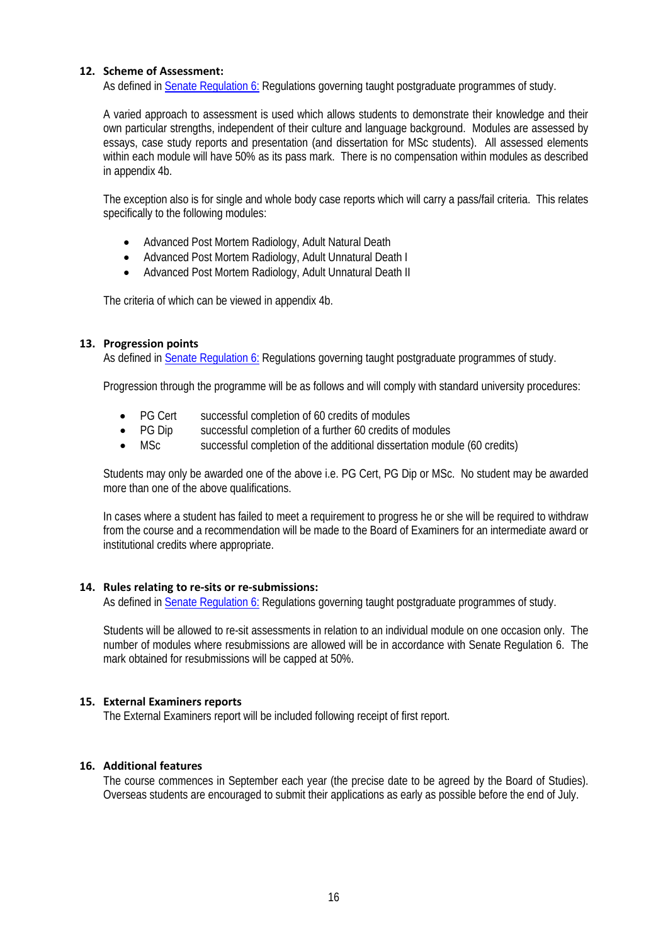### **12. Scheme of Assessment:**

As defined in [Senate Regulation 6:](http://www.le.ac.uk/senate-regulation6) Regulations governing taught postgraduate programmes of study.

A varied approach to assessment is used which allows students to demonstrate their knowledge and their own particular strengths, independent of their culture and language background. Modules are assessed by essays, case study reports and presentation (and dissertation for MSc students). All assessed elements within each module will have 50% as its pass mark. There is no compensation within modules as described in appendix 4b.

The exception also is for single and whole body case reports which will carry a pass/fail criteria. This relates specifically to the following modules:

- Advanced Post Mortem Radiology, Adult Natural Death
- Advanced Post Mortem Radiology, Adult Unnatural Death I
- Advanced Post Mortem Radiology, Adult Unnatural Death II

The criteria of which can be viewed in appendix 4b.

### **13. Progression points**

As defined in [Senate Regulation 6:](http://www.le.ac.uk/senate-regulation6) Regulations governing taught postgraduate programmes of study.

Progression through the programme will be as follows and will comply with standard university procedures:

- PG Cert successful completion of 60 credits of modules
- PG Dip successful completion of a further 60 credits of modules
- MSc successful completion of the additional dissertation module (60 credits)

Students may only be awarded one of the above i.e. PG Cert, PG Dip or MSc. No student may be awarded more than one of the above qualifications.

In cases where a student has failed to meet a requirement to progress he or she will be required to withdraw from the course and a recommendation will be made to the Board of Examiners for an intermediate award or institutional credits where appropriate.

### **14. Rules relating to re-sits or re-submissions:**

As defined in [Senate Regulation 6:](http://www.le.ac.uk/senate-regulation6) Regulations governing taught postgraduate programmes of study.

Students will be allowed to re-sit assessments in relation to an individual module on one occasion only. The number of modules where resubmissions are allowed will be in accordance with Senate Regulation 6. The mark obtained for resubmissions will be capped at 50%.

### **15. External Examiners reports**

The External Examiners report will be included following receipt of first report.

### **16. Additional features**

The course commences in September each year (the precise date to be agreed by the Board of Studies). Overseas students are encouraged to submit their applications as early as possible before the end of July.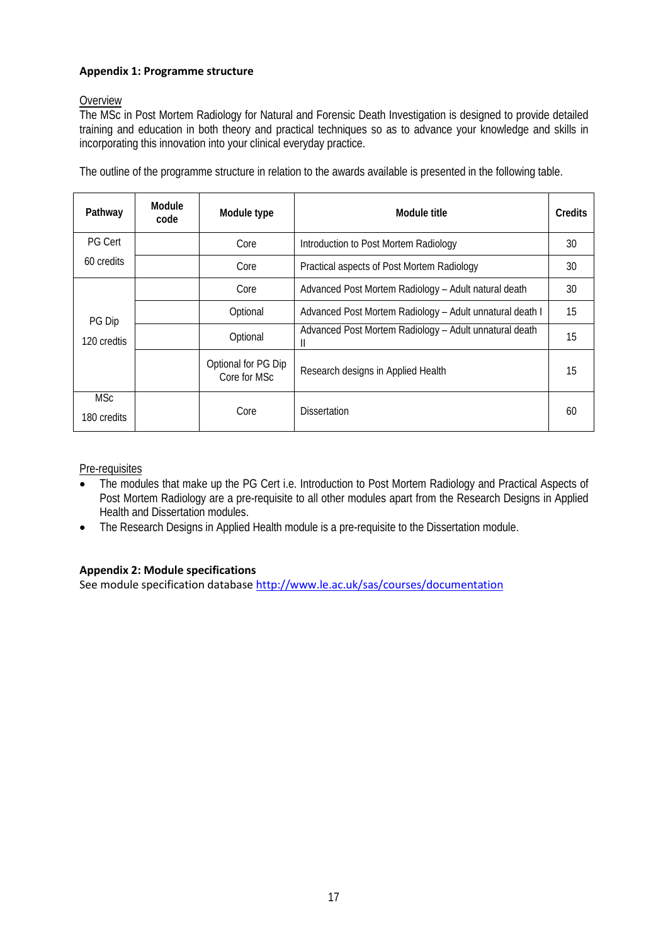# **Appendix 1: Programme structure**

# Overview

The MSc in Post Mortem Radiology for Natural and Forensic Death Investigation is designed to provide detailed training and education in both theory and practical techniques so as to advance your knowledge and skills in incorporating this innovation into your clinical everyday practice.

| Pathway                   | Module<br>code | Module type                         | Module title                                                | Credits |
|---------------------------|----------------|-------------------------------------|-------------------------------------------------------------|---------|
| <b>PG Cert</b>            |                | Core                                | Introduction to Post Mortem Radiology                       | 30      |
| 60 credits                |                | Core                                | Practical aspects of Post Mortem Radiology                  | 30      |
|                           |                | Core                                | Advanced Post Mortem Radiology - Adult natural death        | 30      |
| PG Dip                    |                | Optional                            | Advanced Post Mortem Radiology - Adult unnatural death I    | 15      |
| 120 credtis               |                | Optional                            | Advanced Post Mortem Radiology - Adult unnatural death<br>Ш | 15      |
|                           |                | Optional for PG Dip<br>Core for MSc | Research designs in Applied Health                          | 15      |
| <b>MSc</b><br>180 credits |                | Core                                | <b>Dissertation</b>                                         | 60      |

The outline of the programme structure in relation to the awards available is presented in the following table.

Pre-requisites

- The modules that make up the PG Cert i.e. Introduction to Post Mortem Radiology and Practical Aspects of Post Mortem Radiology are a pre-requisite to all other modules apart from the Research Designs in Applied Health and Dissertation modules.
- The Research Designs in Applied Health module is a pre-requisite to the Dissertation module.

# **Appendix 2: Module specifications**

See module specification database <http://www.le.ac.uk/sas/courses/documentation>